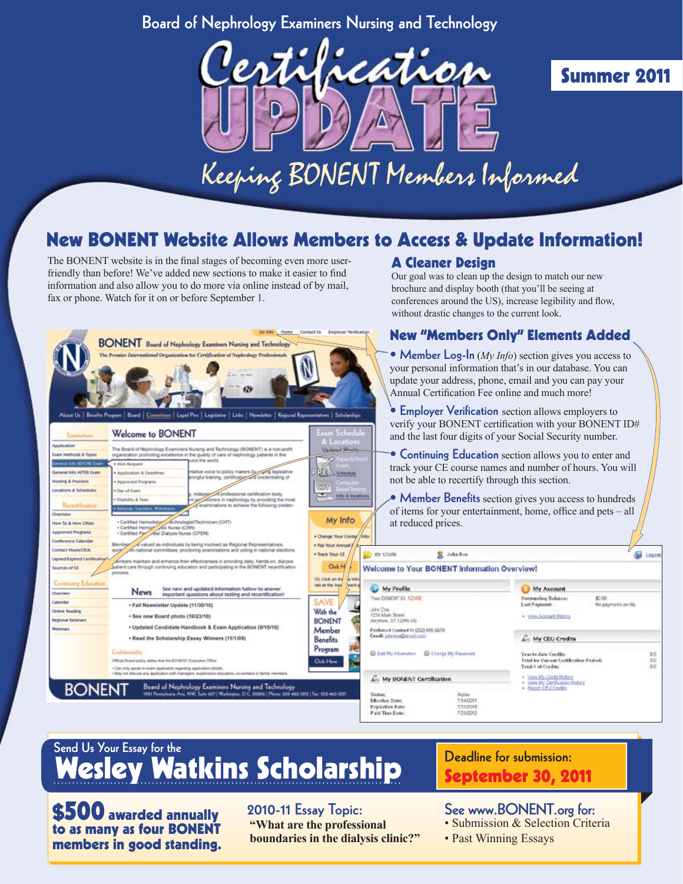### Board of Nephrology Examiners Nursing and Technology



# Summer 2011

# New BONENT Website Allows Members to Access & Update Information!

The BONENT website is in the final stages of becoming even more userfriendly than before! We've added new sections to make it easier to find information and also allow you to do more via online instead of by mail, fax or phone. Watch for it on or before September 1.

#### A Cleaner Design

Our goal was to clean up the design to match our new brochure and display booth (that you'll be seeing at conferences around the US), increase legibility and flow, without drastic changes to the current look.



# Send Us Your Essay for the Wesley Watkins Scholarship

\$500 awarded annually to as many as four BONENT members in good standing. 2010-11 Essay Topic: **"What are the professional boundaries in the dialysis clinic?"**

CertificationUPDATE Summer 07 Board of Nephrology Examiners Nursing and Technology 1

# Deadline for submission: September 30, 2011

See www.BONENT.org for:

- Submission & Selection Criteria
- Past Winning Essays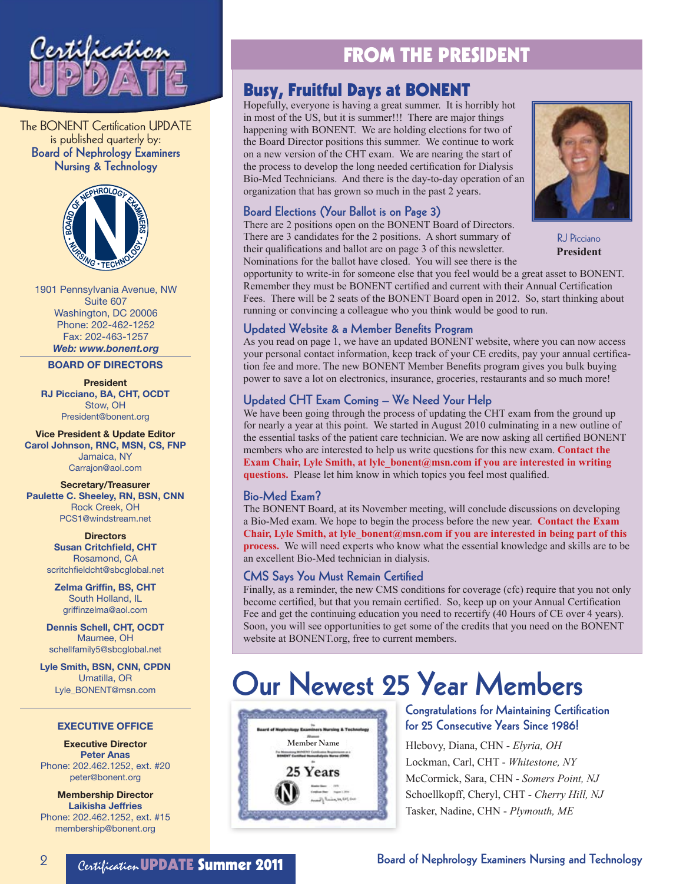

The BONENT Certification UPDATE is published quarterly by: Board of Nephrology Examiners Nursing & Technology



1901 Pennsylvania Avenue, NW Suite 607 Washington, DC 20006 Phone: 202-462-1252 Fax: 202-463-1257 *Web: www.bonent.org*

BOARD OF DIRECTORS

### President

RJ Picciano, BA, CHT, OCDT Stow, OH President@bonent.org

Vice President & Update Editor Carol Johnson, RNC, MSN, CS, FNP Jamaica, NY Carrajon@aol.com

#### Secretary/Treasurer Paulette C. Sheeley, RN, BSN, CNN Rock Creek, OH PCS1@windstream.net

**Directors** Susan Critchfield, CHT Rosamond, CA scritchfieldcht@sbcglobal.net

Zelma Griffin, BS, CHT South Holland, IL griffinzelma@aol.com

Dennis Schell, CHT, OCDT Maumee, OH schellfamily5@sbcglobal.net

Lyle Smith, BSN, CNN, CPDN Umatilla, OR Lyle\_BONENT@msn.com

#### EXECUTIVE OFFICE

Executive Director Peter Anas Phone: 202.462.1252, ext. #20 peter@bonent.org

Membership Director Laikisha Jeffries Phone: 202.462.1252, ext. #15 membership@bonent.org

# FROM THE PRESIDENT

### Busy, Fruitful Days at BONENT

Hopefully, everyone is having a great summer. It is horribly hot in most of the US, but it is summer!!! There are major things happening with BONENT. We are holding elections for two of the Board Director positions this summer. We continue to work on a new version of the CHT exam. We are nearing the start of the process to develop the long needed certification for Dialysis Bio-Med Technicians. And there is the day-to-day operation of an organization that has grown so much in the past 2 years.

#### Board Elections (Your Ballot is on Page 3)

There are 2 positions open on the BONENT Board of Directors. There are 3 candidates for the 2 positions. A short summary of their qualifications and ballot are on page 3 of this newsletter. Nominations for the ballot have closed. You will see there is the



RJ Picciano **President**

opportunity to write-in for someone else that you feel would be a great asset to BONENT. Remember they must be BONENT certified and current with their Annual Certification Fees. There will be 2 seats of the BONENT Board open in 2012. So, start thinking about running or convincing a colleague who you think would be good to run.

#### Updated Website & a Member Benefits Program

As you read on page 1, we have an updated BONENT website, where you can now access your personal contact information, keep track of your CE credits, pay your annual certification fee and more. The new BONENT Member Benefits program gives you bulk buying power to save a lot on electronics, insurance, groceries, restaurants and so much more!

#### Updated CHT Exam Coming – We Need Your Help

We have been going through the process of updating the CHT exam from the ground up for nearly a year at this point. We started in August 2010 culminating in a new outline of the essential tasks of the patient care technician. We are now asking all certified BONENT members who are interested to help us write questions for this new exam. **Contact the Exam Chair, Lyle Smith, at lyle bonent@msn.com if you are interested in writing questions.** Please let him know in which topics you feel most qualified.

#### Bio-Med Exam?

The BONENT Board, at its November meeting, will conclude discussions on developing a Bio-Med exam. We hope to begin the process before the new year. **Contact the Exam Chair, Lyle Smith, at lyle\_bonent@msn.com if you are interested in being part of this process.** We will need experts who know what the essential knowledge and skills are to be an excellent Bio-Med technician in dialysis.

#### CMS Says You Must Remain Certified

Finally, as a reminder, the new CMS conditions for coverage (cfc) require that you not only become certified, but that you remain certified. So, keep up on your Annual Certification Fee and get the continuing education you need to recertify (40 Hours of CE over 4 years). Soon, you will see opportunities to get some of the credits that you need on the BONENT website at BONENT.org, free to current members.

# Our Newest 25 Year Members



#### Congratulations for Maintaining Certification for 25 Consecutive Years Since 1986!

Hlebovy, Diana, CHN - *Elyria, OH* Lockman, Carl, CHT - *Whitestone, NY* McCormick, Sara, CHN - *Somers Point, NJ* Schoellkopff, Cheryl, CHT - *Cherry Hill, NJ* Tasker, Nadine, CHN - *Plymouth, ME*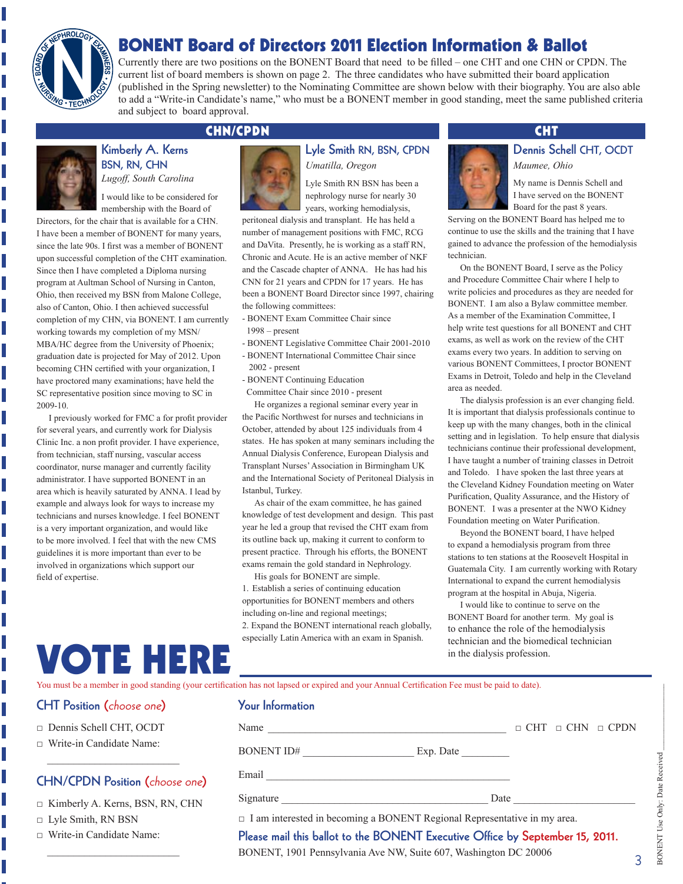# BONENT Board of Directors 2011 Election Information & Ballot



Currently there are two positions on the BONENT Board that need to be filled – one CHT and one CHN or CPDN. The current list of board members is shown on page 2. The three candidates who have submitted their board application (published in the Spring newsletter) to the Nominating Committee are shown below with their biography. You are also able to add a "Write-in Candidate's name," who must be a BONENT member in good standing, meet the same published criteria and subject to board approval.



### Kimberly A. Kerns BSN, RN, CHN

I would like to be considered for membership with the Board of

*Lugoff, South Carolina*

Directors, for the chair that is available for a CHN. I have been a member of BONENT for many years, since the late 90s. I first was a member of BONENT upon successful completion of the CHT examination. Since then I have completed a Diploma nursing program at Aultman School of Nursing in Canton, Ohio, then received my BSN from Malone College, also of Canton, Ohio. I then achieved successful completion of my CHN, via BONENT. I am currently working towards my completion of my MSN/ MBA/HC degree from the University of Phoenix; graduation date is projected for May of 2012. Upon becoming CHN certified with your organization, I have proctored many examinations; have held the SC representative position since moving to SC in 2009-10.

I previously worked for FMC a for profit provider for several years, and currently work for Dialysis Clinic Inc. a non profit provider. I have experience, from technician, staff nursing, vascular access coordinator, nurse manager and currently facility administrator. I have supported BONENT in an area which is heavily saturated by ANNA. I lead by example and always look for ways to increase my technicians and nurses knowledge. I feel BONENT is a very important organization, and would like to be more involved. I feel that with the new CMS guidelines it is more important than ever to be involved in organizations which support our field of expertise.

VOTE HERE



Lyle Smith RN, BSN, CPDN *Umatilla, Oregon*

Lyle Smith RN BSN has been a nephrology nurse for nearly 30 years, working hemodialysis,

peritoneal dialysis and transplant. He has held a number of management positions with FMC, RCG and DaVita. Presently, he is working as a staff RN, Chronic and Acute. He is an active member of NKF and the Cascade chapter of ANNA. He has had his CNN for 21 years and CPDN for 17 years. He has been a BONENT Board Director since 1997, chairing the following committees:

- BONENT Exam Committee Chair since 1998 – present
- BONENT Legislative Committee Chair 2001-2010
- BONENT International Committee Chair since 2002 - present
- BONENT Continuing Education
- Committee Chair since 2010 present

He organizes a regional seminar every year in the Pacific Northwest for nurses and technicians in October, attended by about 125 individuals from 4 states. He has spoken at many seminars including the Annual Dialysis Conference, European Dialysis and Transplant Nurses' Association in Birmingham UK and the International Society of Peritoneal Dialysis in Istanbul, Turkey.

As chair of the exam committee, he has gained knowledge of test development and design. This past year he led a group that revised the CHT exam from its outline back up, making it current to conform to present practice. Through his efforts, the BONENT exams remain the gold standard in Nephrology.

His goals for BONENT are simple. 1. Establish a series of continuing education opportunities for BONENT members and others including on-line and regional meetings; 2. Expand the BONENT international reach globally, especially Latin America with an exam in Spanish.

#### CHN/CPDN CHT

## Dennis Schell CHT, OCDT

*Maumee, Ohio*

My name is Dennis Schell and I have served on the BONENT Board for the past 8 years.

Serving on the BONENT Board has helped me to continue to use the skills and the training that I have gained to advance the profession of the hemodialysis technician.

On the BONENT Board, I serve as the Policy and Procedure Committee Chair where I help to write policies and procedures as they are needed for BONENT. I am also a Bylaw committee member. As a member of the Examination Committee, I help write test questions for all BONENT and CHT exams, as well as work on the review of the CHT exams every two years. In addition to serving on various BONENT Committees, I proctor BONENT Exams in Detroit, Toledo and help in the Cleveland area as needed.

The dialysis profession is an ever changing field. It is important that dialysis professionals continue to keep up with the many changes, both in the clinical setting and in legislation. To help ensure that dialysis technicians continue their professional development, I have taught a number of training classes in Detroit and Toledo. I have spoken the last three years at the Cleveland Kidney Foundation meeting on Water Purification, Quality Assurance, and the History of BONENT. I was a presenter at the NWO Kidney Foundation meeting on Water Purification.

Beyond the BONENT board, I have helped to expand a hemodialysis program from three stations to ten stations at the Roosevelt Hospital in Guatemala City. I am currently working with Rotary International to expand the current hemodialysis program at the hospital in Abuja, Nigeria.

I would like to continue to serve on the BONENT Board for another term. My goal is to enhance the role of the hemodialysis technician and the biomedical technician in the dialysis profession.

You must be a member in good standing (your certification has not lapsed or expired and your Annual Certification Fee must be paid to date).

#### CHT Position (choose one)

- □ Dennis Schell CHT, OCDT
- □ Write-in Candidate Name:

 $\mathcal{L}_\text{max}$  , where  $\mathcal{L}_\text{max}$  and  $\mathcal{L}_\text{max}$ 

### CHN/CPDN Position (choose one)

- □ Kimberly A. Kerns, BSN, RN, CHN
- □ Lyle Smith, RN BSN
- □ Write-in Candidate Name:

 $\overline{\phantom{a}}$  ,  $\overline{\phantom{a}}$  ,  $\overline{\phantom{a}}$  ,  $\overline{\phantom{a}}$  ,  $\overline{\phantom{a}}$  ,  $\overline{\phantom{a}}$  ,  $\overline{\phantom{a}}$  ,  $\overline{\phantom{a}}$  ,  $\overline{\phantom{a}}$  ,  $\overline{\phantom{a}}$  ,  $\overline{\phantom{a}}$  ,  $\overline{\phantom{a}}$  ,  $\overline{\phantom{a}}$  ,  $\overline{\phantom{a}}$  ,  $\overline{\phantom{a}}$  ,  $\overline{\phantom{a}}$ 

### Your Information

BONENT ID# Exp. Date

Email \_\_\_\_\_\_\_\_\_\_\_\_\_\_\_\_\_\_\_\_\_\_\_\_\_\_\_\_\_\_\_\_\_\_\_\_\_\_\_\_\_\_\_\_\_\_

Signature \_\_\_\_\_\_\_\_\_\_\_\_\_\_\_\_\_\_\_\_\_\_\_\_\_\_\_\_\_\_\_\_\_\_\_\_\_\_\_ Date \_\_\_\_\_\_\_\_\_\_\_\_\_\_\_\_\_\_\_\_\_\_\_

 $\Box$  I am interested in becoming a BONENT Regional Representative in my area.

Please mail this ballot to the BONENT Executive Office by September 15, 2011.

Name \_\_\_\_\_\_\_\_\_\_\_\_\_\_\_\_\_\_\_\_\_\_\_\_\_\_\_\_\_\_\_\_\_\_\_\_\_\_\_\_\_\_\_\_\_ □ CHT □ CHN □ CPDN

BONENT, 1901 Pennsylvania Ave NW, Suite 607, Washington DC 20006

3